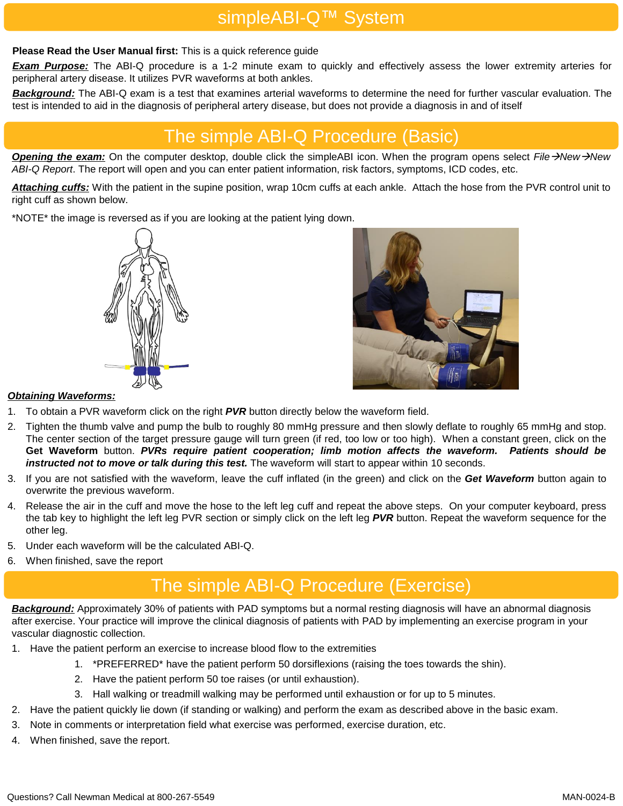## simpleABI-Q™ System

#### **Please Read the User Manual first:** This is a quick reference guide

*Exam Purpose:* The ABI-Q procedure is a 1-2 minute exam to quickly and effectively assess the lower extremity arteries for peripheral artery disease. It utilizes PVR waveforms at both ankles.

*Background:* The ABI-Q exam is a test that examines arterial waveforms to determine the need for further vascular evaluation. The test is intended to aid in the diagnosis of peripheral artery disease, but does not provide a diagnosis in and of itself

## The simple ABI-Q Procedure (Basic)

*Opening the exam:* On the computer desktop, double click the simpleABI icon. When the program opens select *File*→*New*→*New ABI-Q Report*. The report will open and you can enter patient information, risk factors, symptoms, ICD codes, etc.

*Attaching cuffs:* With the patient in the supine position, wrap 10cm cuffs at each ankle. Attach the hose from the PVR control unit to right cuff as shown below.

\*NOTE\* the image is reversed as if you are looking at the patient lying down.





#### *Obtaining Waveforms:*

- 1. To obtain a PVR waveform click on the right *PVR* button directly below the waveform field.
- 2. Tighten the thumb valve and pump the bulb to roughly 80 mmHg pressure and then slowly deflate to roughly 65 mmHg and stop. The center section of the target pressure gauge will turn green (if red, too low or too high). When a constant green, click on the **Get Waveform** button. *PVRs require patient cooperation; limb motion affects the waveform. Patients should be instructed not to move or talk during this test.* The waveform will start to appear within 10 seconds.
- 3. If you are not satisfied with the waveform, leave the cuff inflated (in the green) and click on the *Get Waveform* button again to overwrite the previous waveform.
- 4. Release the air in the cuff and move the hose to the left leg cuff and repeat the above steps. On your computer keyboard, press the tab key to highlight the left leg PVR section or simply click on the left leg *PVR* button. Repeat the waveform sequence for the other leg.
- 5. Under each waveform will be the calculated ABI-Q.
- 6. When finished, save the report

# The simple ABI-Q Procedure (Exercise)

*Background:* Approximately 30% of patients with PAD symptoms but a normal resting diagnosis will have an abnormal diagnosis after exercise. Your practice will improve the clinical diagnosis of patients with PAD by implementing an exercise program in your vascular diagnostic collection.

- 1. Have the patient perform an exercise to increase blood flow to the extremities
	- 1. \*PREFERRED\* have the patient perform 50 dorsiflexions (raising the toes towards the shin).
	- 2. Have the patient perform 50 toe raises (or until exhaustion).
	- 3. Hall walking or treadmill walking may be performed until exhaustion or for up to 5 minutes.
- 2. Have the patient quickly lie down (if standing or walking) and perform the exam as described above in the basic exam.
- 3. Note in comments or interpretation field what exercise was performed, exercise duration, etc.
- 4. When finished, save the report.